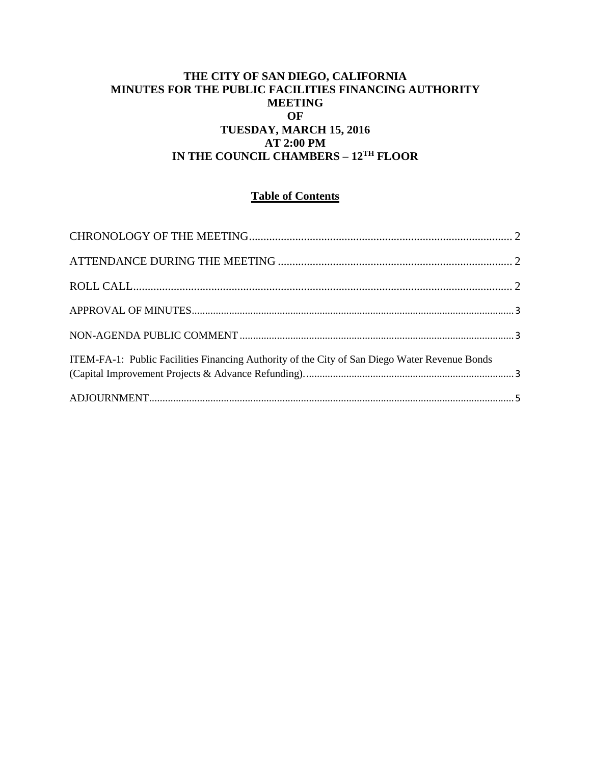#### **THE CITY OF SAN DIEGO, CALIFORNIA MINUTES FOR THE PUBLIC FACILITIES FINANCING AUTHORITY MEETING OF TUESDAY, MARCH 15, 2016 AT 2:00 PM IN THE COUNCIL CHAMBERS – 12TH FLOOR**

## **Table of Contents**

| ITEM-FA-1: Public Facilities Financing Authority of the City of San Diego Water Revenue Bonds |  |
|-----------------------------------------------------------------------------------------------|--|
|                                                                                               |  |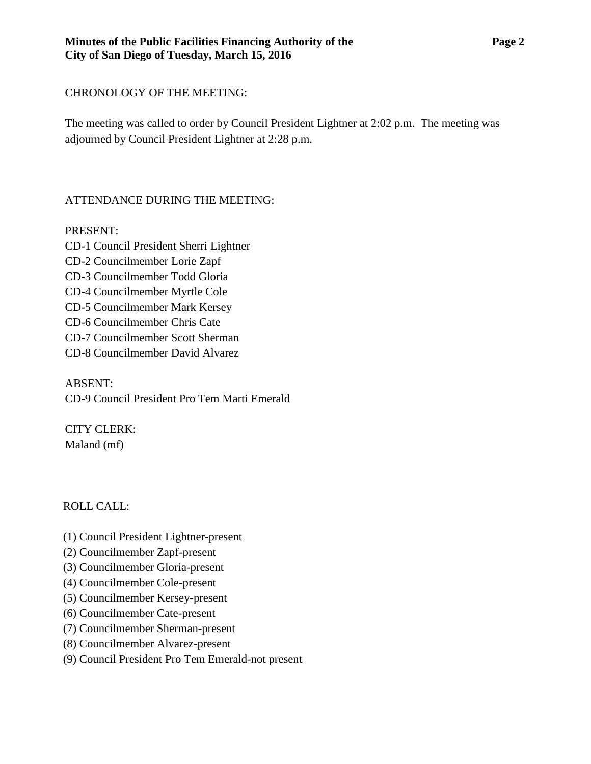## <span id="page-1-0"></span>CHRONOLOGY OF THE MEETING:

The meeting was called to order by Council President Lightner at 2:02 p.m. The meeting was adjourned by Council President Lightner at 2:28 p.m.

# <span id="page-1-1"></span>ATTENDANCE DURING THE MEETING:

PRESENT:

CD-1 Council President Sherri Lightner CD-2 Councilmember Lorie Zapf CD-3 Councilmember Todd Gloria CD-4 Councilmember Myrtle Cole CD-5 Councilmember Mark Kersey CD-6 Councilmember Chris Cate CD-7 Councilmember Scott Sherman CD-8 Councilmember David Alvarez

ABSENT: CD-9 Council President Pro Tem Marti Emerald

CITY CLERK: Maland (mf)

# <span id="page-1-2"></span>ROLL CALL:

- (1) Council President Lightner-present
- (2) Councilmember Zapf-present
- (3) Councilmember Gloria-present
- (4) Councilmember Cole-present
- (5) Councilmember Kersey-present
- (6) Councilmember Cate-present
- (7) Councilmember Sherman-present
- (8) Councilmember Alvarez-present
- (9) Council President Pro Tem Emerald-not present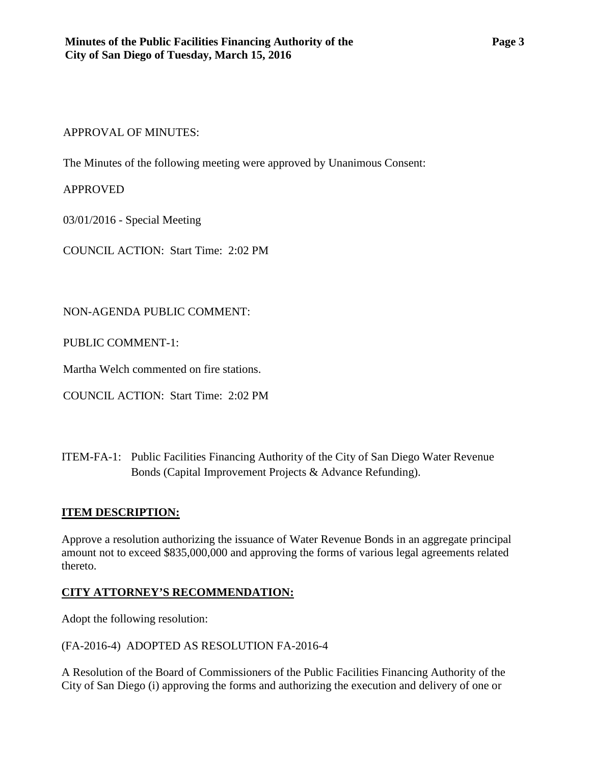#### <span id="page-2-0"></span>APPROVAL OF MINUTES:

The Minutes of the following meeting were approved by Unanimous Consent:

## APPROVED

03/01/2016 - Special Meeting

COUNCIL ACTION: Start Time: 2:02 PM

## <span id="page-2-1"></span>NON-AGENDA PUBLIC COMMENT:

PUBLIC COMMENT-1:

Martha Welch commented on fire stations.

COUNCIL ACTION: Start Time: 2:02 PM

<span id="page-2-2"></span>ITEM-FA-1: [Public Facilities Financing Authority of the City of San Diego Water Revenue](http://www.sandiego.gov/sites/default/files/fa-1_-_exhibits.pdf)  [Bonds \(Capital Improvement Projects & Advance Refunding\).](http://www.sandiego.gov/sites/default/files/fa-1_-_exhibits.pdf)

# **ITEM DESCRIPTION:**

Approve a resolution authorizing the issuance of Water Revenue Bonds in an aggregate principal amount not to exceed \$835,000,000 and approving the forms of various legal agreements related thereto.

# **CITY ATTORNEY'S RECOMMENDATION:**

Adopt the following resolution:

(FA-2016-4) ADOPTED AS RESOLUTION FA-2016-4

A Resolution of the Board of Commissioners of the Public Facilities Financing Authority of the City of San Diego (i) approving the forms and authorizing the execution and delivery of one or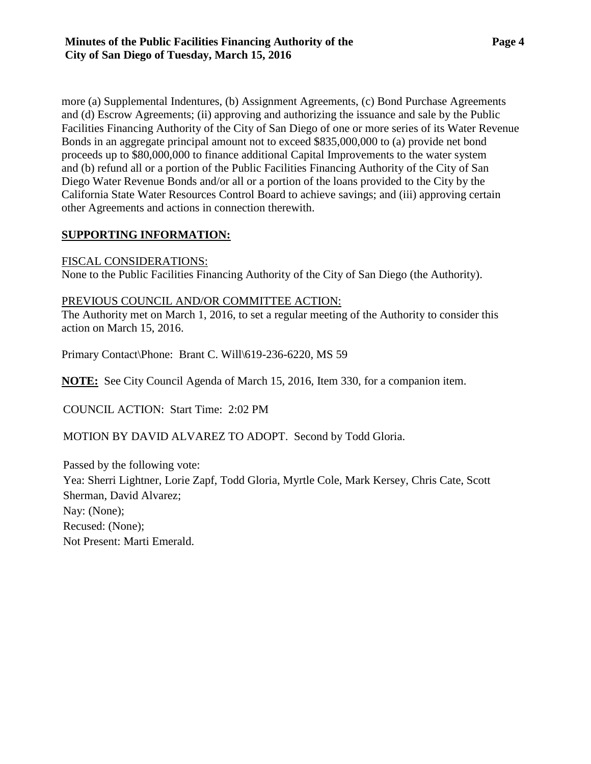more (a) Supplemental Indentures, (b) Assignment Agreements, (c) Bond Purchase Agreements and (d) Escrow Agreements; (ii) approving and authorizing the issuance and sale by the Public Facilities Financing Authority of the City of San Diego of one or more series of its Water Revenue Bonds in an aggregate principal amount not to exceed \$835,000,000 to (a) provide net bond proceeds up to \$80,000,000 to finance additional Capital Improvements to the water system and (b) refund all or a portion of the Public Facilities Financing Authority of the City of San Diego Water Revenue Bonds and/or all or a portion of the loans provided to the City by the California State Water Resources Control Board to achieve savings; and (iii) approving certain other Agreements and actions in connection therewith.

#### **SUPPORTING INFORMATION:**

#### FISCAL CONSIDERATIONS:

None to the Public Facilities Financing Authority of the City of San Diego (the Authority).

#### PREVIOUS COUNCIL AND/OR COMMITTEE ACTION:

The Authority met on March 1, 2016, to set a regular meeting of the Authority to consider this action on March 15, 2016.

Primary Contact\Phone: Brant C. Will\619-236-6220, MS 59

**NOTE:** See City Council Agenda of March 15, 2016, Item 330, for a companion item.

COUNCIL ACTION: Start Time: 2:02 PM

MOTION BY DAVID ALVAREZ TO ADOPT. Second by Todd Gloria.

Passed by the following vote: Yea: Sherri Lightner, Lorie Zapf, Todd Gloria, Myrtle Cole, Mark Kersey, Chris Cate, Scott Sherman, David Alvarez; Nay: (None); Recused: (None); Not Present: Marti Emerald.